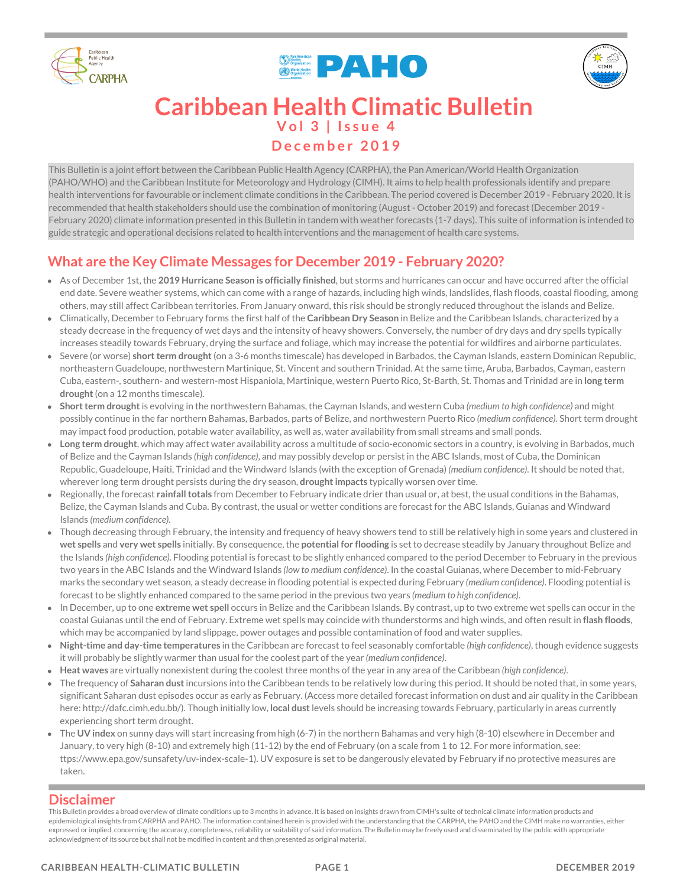





# **V o l 3 | I s s u e 4 D e c e m b e r 2 0 1 9 Caribbean Health Climatic Bulletin**

This Bulletin is a joint effort between the Caribbean Public Health Agency (CARPHA), the Pan American/World Health Organization (PAHO/WHO) and the Caribbean Institute for Meteorology and Hydrology (CIMH). It aims to help health professionals identify and prepare health interventions for favourable or inclement climate conditions in the Caribbean. The period covered is December 2019 - February 2020. It is recommended that health stakeholders should use the combination of monitoring (August - October 2019) and forecast (December 2019 - February 2020) climate information presented in this Bulletin in tandem with weather forecasts (1-7 days). This suite of information is intended to guide strategic and operational decisions related to health interventions and the management of health care systems.

## **What are the Key Climate Messages for December 2019 - February 2020?**

- As of December 1st, the **2019 Hurricane Season is officially finished**, but storms and hurricanes can occur and have occurred after the official end date. Severe weather systems, which can come with a range of hazards, including high winds, landslides, flash floods, coastal flooding, among others, may still affect Caribbean territories. From January onward, this risk should be strongly reduced throughout the islands and Belize.
- Climatically, December to February forms the first half of the **Caribbean Dry Season** in Belize and the Caribbean Islands, characterized by a steady decrease in the frequency of wet days and the intensity of heavy showers. Conversely, the number of dry days and dry spells typically increases steadily towards February, drying the surface and foliage, which may increase the potential for wildfires and airborne particulates.
- Severe (or worse) **shortterm drought**(on a 3-6 months timescale) has developed in Barbados, the Cayman Islands, eastern Dominican Republic, northeastern Guadeloupe, northwestern Martinique, St. Vincent and southern Trinidad. At the same time, Aruba, Barbados, Cayman, eastern Cuba, eastern-, southern- and western-most Hispaniola, Martinique, western Puerto Rico, St-Barth, St. Thomas and Trinidad are in **long term drought**(on a 12 months timescale).
- **Shortterm drought**is evolving in the northwestern Bahamas, the Cayman Islands, and western Cuba *(medium to high confidence)* and might possibly continue in the far northern Bahamas, Barbados, parts of Belize, and northwestern Puerto Rico *(medium confidence)*. Short term drought may impact food production, potable water availability, as well as, water availability from small streams and small ponds.
- **Long term drought**, which may affect water availability across a multitude of socio-economic sectors in a country, is evolving in Barbados, much of Belize and the Cayman Islands *(high confidence)*, and may possibly develop or persist in the ABC Islands, most of Cuba, the Dominican Republic, Guadeloupe, Haiti, Trinidad and the Windward Islands (with the exception of Grenada) *(medium confidence)*. It should be noted that, wherever long term drought persists during the dry season, **droughtimpacts** typically worsen over time.
- Regionally, the forecast **rainfalltotals** from December to February indicate drier than usual or, at best, the usual conditions in the Bahamas, Belize, the Cayman Islands and Cuba. By contrast, the usual or wetter conditions are forecast for the ABC Islands, Guianas and Windward Islands *(medium confidence)*.
- Though decreasing through February, the intensity and frequency of heavy showers tend to still be relatively high in some years and clustered in **wet spells** and **very wet spells** initially. By consequence, the **potential for flooding** is set to decrease steadily by January throughout Belize and the Islands *(high confidence)*. Flooding potential is forecast to be slightly enhanced compared to the period December to February in the previous two years in the ABC Islands and the Windward Islands *(low to medium confidence)*. In the coastal Guianas, where December to mid-February marks the secondary wet season, a steady decrease in flooding potential is expected during February *(medium confidence)*. Flooding potential is forecast to be slightly enhanced compared to the same period in the previous two years *(medium to high confidence)*.
- In December, up to one **extreme wet spell** occurs in Belize and the Caribbean Islands. By contrast, up to two extreme wet spells can occur in the coastal Guianas until the end of February. Extreme wet spells may coincide with thunderstorms and high winds, and often result in **flash floods**, which may be accompanied by land slippage, power outages and possible contamination of food and water supplies.
- **Night-time and day-time temperatures** in the Caribbean are forecast to feel seasonably comfortable *(high confidence)*, though evidence suggests it will probably be slightly warmer than usual for the coolest part of the year *(medium confidence)*.
- **Heat waves** are virtually nonexistent during the coolest three months of the year in any area of the Caribbean *(high confidence)*.
- The frequency of **Saharan dust**incursions into the Caribbean tends to be relatively low during this period. It should be noted that, in some years, significant Saharan dust episodes occur as early as February. (Access more detailed forecast information on dust and air quality in the Caribbean here: http://dafc.cimh.edu.bb/). Though initially low, **local dust**levels should be increasing towards February, particularly in areas currently experiencing short term drought.
- The **UV index** on sunny days will start increasing from high (6-7) in the northern Bahamas and very high (8-10) elsewhere in December and January, to very high (8-10) and extremely high (11-12) by the end of February (on a scale from 1 to 12. For more information, see: ttps://www.epa.gov/sunsafety/uv-index-scale-1). UV exposure is set to be dangerously elevated by February if no protective measures are taken.

### **Disclaimer**

This Bulletin provides a broad overview of climate conditions up to 3 months in advance. It is based on insights drawn from CIMH's suite of technical climate information products and epidemiological insights from CARPHA and PAHO. The information contained herein is provided with the understanding that the CARPHA, the PAHO and the CIMH make no warranties, either expressed or implied, concerning the accuracy, completeness, reliability or suitability of said information. The Bulletin may be freely used and disseminated by the public with appropriate acknowledgment of its source but shall not be modified in content and then presented as original material.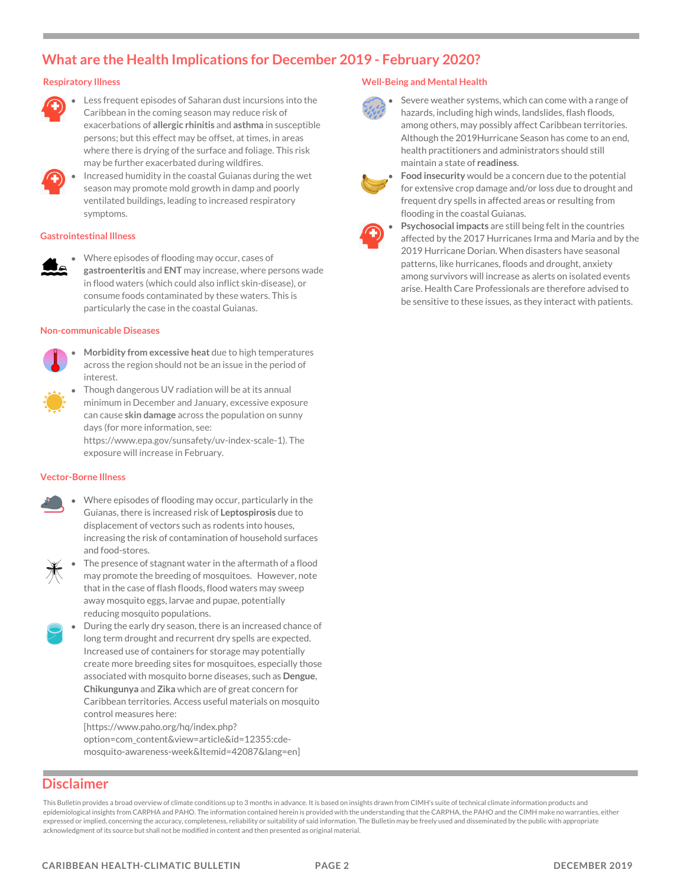### **What are the Health Implications for December 2019 - February 2020?**

#### **Respiratory Illness**



Less frequent episodes of Saharan dust incursions into the Caribbean in the coming season may reduce risk of exacerbations of **allergic rhinitis** and **asthma** in susceptible persons; but this effect may be offset, at times, in areas where there is drying of the surface and foliage. This risk may be further exacerbated during wildfires.



#### **Gastrointestinal Illness**

Where episodes of flooding may occur, cases of **gastroenteritis** and **ENT** may increase, where persons wade in flood waters (which could also inflict skin-disease), or consume foods contaminated by these waters. This is particularly the case in the coastal Guianas.

#### **Non-communicable Diseases**



- **Morbidity from excessive heat** due to high temperatures across the region should not be an issue in the period of interest.
- Though dangerous UV radiation will be at its annual minimum in December and January, excessive exposure can cause **skin damage** across the population on sunny days (for more information, see:

https://www.epa.gov/sunsafety/uv-index-scale-1). The exposure will increase in February.

#### **Vector-Borne Illness**

Where episodes of flooding may occur, particularly in the Guianas, there is increased risk of **Leptospirosis** due to displacement of vectors such as rodents into houses, increasing the risk of contamination of household surfaces and food-stores.



- The presence of stagnant water in the aftermath of a flood may promote the breeding of mosquitoes. However, note that in the case of flash floods, flood waters may sweep away mosquito eggs, larvae and pupae, potentially reducing mosquito populations.
- During the early dry season, there is an increased chance of long term drought and recurrent dry spells are expected. Increased use of containers for storage may potentially create more breeding sites for mosquitoes, especially those associated with mosquito borne diseases, such as **Dengue**, **Chikungunya** and **Zika** which are of great concern for Caribbean territories. Access useful materials on mosquito control measures here:

[https://www.paho.org/hq/index.php? option=com\_content&view=article&id=12355:cdemosquito-awareness-week&Itemid=42087&lang=en]

### **Disclaimer**

This Bulletin provides a broad overview of climate conditions up to 3 months in advance. It is based on insights drawn from CIMH's suite of technical climate information products and epidemiological insights from CARPHA and PAHO. The information contained herein is provided with the understanding that the CARPHA, the PAHO and the CIMH make no warranties, either expressed or implied, concerning the accuracy, completeness, reliability or suitability of said information. The Bulletin may be freely used and disseminated by the public with appropriate acknowledgment of its source but shall not be modified in content and then presented as original material.

#### **Well-Being and Mental Health**



Severe weather systems, which can come with a range of hazards, including high winds, landslides, flash floods, among others, may possibly affect Caribbean territories. Although the 2019Hurricane Season has come to an end, health practitioners and administrators should still maintain a state of **readiness**.



**Food insecurity** would be a concern due to the potential for extensive crop damage and/or loss due to drought and frequent dry spells in affected areas or resulting from flooding in the coastal Guianas.



**Psychosocial impacts** are still being felt in the countries affected by the 2017 Hurricanes Irma and Maria and by the 2019 Hurricane Dorian. When disasters have seasonal patterns, like hurricanes, floods and drought, anxiety among survivors will increase as alerts on isolated events arise. Health Care Professionals are therefore advised to be sensitive to these issues, as they interact with patients.